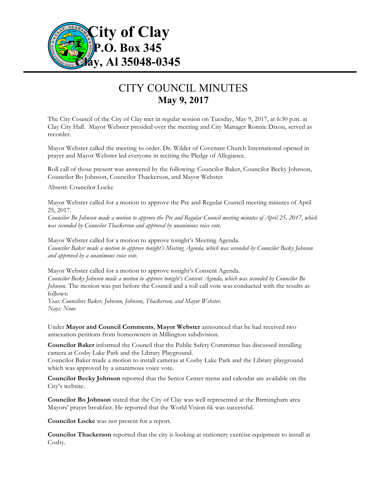

# CITY COUNCIL MINUTES **May 9, 2017**

The City Council of the City of Clay met in regular session on Tuesday, May 9, 2017, at 6:30 p.m. at Clay City Hall. Mayor Webster presided over the meeting and City Manager Ronnie Dixon, served as recorder.

Mayor Webster called the meeting to order. Dr. Wilder of Covenant Church International opened in prayer and Mayor Webster led everyone in reciting the Pledge of Allegiance.

Roll call of those present was answered by the following: Councilor Baker, Councilor Becky Johnson, Councilor Bo Johnson, Councilor Thackerson, and Mayor Webster

Absent: Councilor Locke

Mayor Webster called for a motion to approve the Pre and Regular Council meeting minutes of April 25, 2017.

*Councilor Bo Johnson made a motion to approve the Pre and Regular Council meeting minutes of April 25, 2017, which was seconded by Councilor Thackerson and approved by unanimous voice vote.*

Mayor Webster called for a motion to approve tonight's Meeting Agenda. *Councilor Baker made a motion to approve tonight's Meeting Agenda, which was seconded by Councilor Becky Johnson and approved by a unanimous voice vote.*

Mayor Webster called for a motion to approve tonight's Consent Agenda. *Councilor Becky Johnson made a motion to approve tonight's Consent Agenda, which was seconded by Councilor Bo Johnson*. The motion was put before the Council and a roll call vote was conducted with the results as follows:

*Yeas: Councilors Baker, Johnson, Johnson, Thackerson, and Mayor Webster. Nays: None*

Under **Mayor and Council Comments**, **Mayor Webster** announced that he had received two annexation petitions from homeowners in Millington subdivision.

**Councilor Baker** informed the Council that the Public Safety Committee has discussed installing camera at Cosby Lake Park and the Library Playground.

Councilor Baker made a motion to install cameras at Cosby Lake Park and the Library playground which was approved by a unanimous voice vote.

**Councilor Becky Johnson** reported that the Senior Center menu and calendar are available on the City's website.

**Councilor Bo Johnson** stated that the City of Clay was well represented at the Birmingham area Mayors' prayer breakfast. He reported that the World Vision 6k was successful.

**Councilor Locke** was not present for a report.

**Councilor Thackerson** reported that the city is looking at stationery exercise equipment to install at Cosby.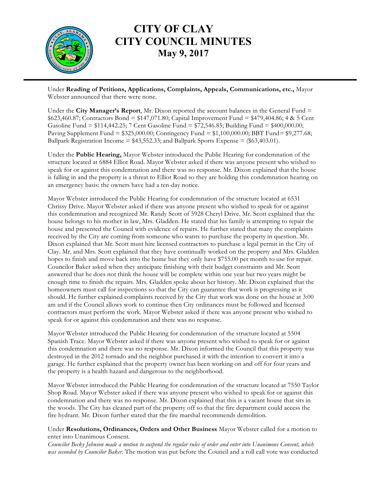

### **CITY OF CLAY CITY COUNCIL MINUTES May 9, 2017**

Under **Reading of Petitions, Applications, Complaints, Appeals, Communications, etc.,** Mayor Webster announced that there were none.

Under the **City Manager's Report**, Mr. Dixon reported the account balances in the General Fund = \$623,460.87; Contractors Bond = \$147,071.80; Capital Improvement Fund = \$479,404.86; 4 & 5 Cent Gasoline Fund = \$114,442.25; 7 Cent Gasoline Fund = \$72,546.85; Building Fund = \$400,000.00; Paving Supplement Fund = \$325,000.00; Contingency Fund = \$1,100,000.00; BBT Fund= \$9,277.68; Ballpark Registration Income = \$43,552.33; and Ballpark Sports Expense = (\$63,403.01).

Under the **Public Hearing,** Mayor Webster introduced the Public Hearing for condemnation of the structure located at 6884 Elliot Road. Mayor Webster asked if there was anyone present who wished to speak for or against this condemnation and there was no response. Mr. Dixon explained that the house is falling in and the property is a threat to Elliot Road so they are holding this condemnation hearing on an emergency basis: the owners have had a ten-day notice.

Mayor Webster introduced the Public Hearing for condemnation of the structure located at 6531 Chrissy Drive. Mayor Webster asked if there was anyone present who wished to speak for or against this condemnation and recognized Mr. Randy Scott of 5928 Cheryl Drive. Mr. Scott explained that the house belongs to his mother in law, Mrs. Gladden. He stated that his family is attempting to repair the house and presented the Council with evidence of repairs. He further stated that many the complaints received by the City are coming from someone who wants to purchase the property in question. Mr. Dixon explained that Mr. Scott must hire licensed contractors to purchase a legal permit in the City of Clay. Mr. and Mrs. Scott explained that they have continually worked on the property and Mrs. Gladden hopes to finish and move back into the home but they only have \$755.00 per month to use for repair. Councilor Baker asked when they anticipate finishing with their budget constraints and Mr. Scott answered that he does not think the house will be complete within one year but two years might be enough time to finish the repairs. Mrs. Gladden spoke about her history. Mr. Dixon explained that the homeowners must call for inspections so that the City can guarantee that work is progressing as it should. He further explained complaints received by the City that work was done on the house at 3:00 am and if the Council allows work to continue then City ordinances must be followed and licensed contractors must perform the work. Mayor Webster asked if there was anyone present who wished to speak for or against this condemnation and there was no response.

Mayor Webster introduced the Public Hearing for condemnation of the structure located at 5504 Spanish Trace. Mayor Webster asked if there was anyone present who wished to speak for or against this condemnation and there was no response. Mr. Dixon informed the Council that this property was destroyed in the 2012 tornado and the neighbor purchased it with the intention to convert it into a garage. He further explained that the property owner has been working on and off for four years and the property is a health hazard and dangerous to the neighborhood.

Mayor Webster introduced the Public Hearing for condemnation of the structure located at 7550 Taylor Shop Road. Mayor Webster asked if there was anyone present who wished to speak for or against this condemnation and there was no response. Mr. Dixon explained that this is a vacant house that sits in the woods. The City has cleaned part of the property off so that the fire department could access the fire hydrant. Mr. Dixon further stated that the fire marshal recommends demolition.

#### Under **Resolutions, Ordinances, Orders and Other Business** Mayor Webster called for a motion to enter into Unanimous Consent.

*Councilor Becky Johnson made a motion to suspend the regular rules of order and enter into Unanimous Consent, which was seconded by Councilor Baker.* The motion was put before the Council and a roll call vote was conducted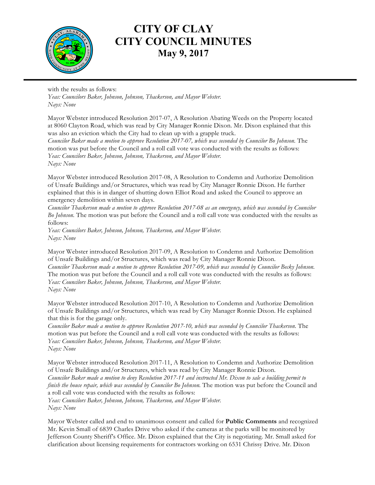

## **CITY OF CLAY CITY COUNCIL MINUTES May 9, 2017**

with the results as follows: *Yeas: Councilors Baker, Johnson, Johnson, Thackerson, and Mayor Webster. Nays: None*

Mayor Webster introduced Resolution 2017-07, A Resolution Abating Weeds on the Property located at 8060 Clayton Road, which was read by City Manager Ronnie Dixon. Mr. Dixon explained that this was also an eviction which the City had to clean up with a grapple truck.

*Councilor Baker made a motion to approve Resolution 2017-07, which was seconded by Councilor Bo Johnson.* The motion was put before the Council and a roll call vote was conducted with the results as follows: *Yeas: Councilors Baker, Johnson, Johnson, Thackerson, and Mayor Webster. Nays: None*

Mayor Webster introduced Resolution 2017-08, A Resolution to Condemn and Authorize Demolition of Unsafe Buildings and/or Structures, which was read by City Manager Ronnie Dixon. He further explained that this is in danger of shutting down Elliot Road and asked the Council to approve an emergency demolition within seven days.

*Councilor Thackerson made a motion to approve Resolution 2017-08 as an emergency, which was seconded by Councilor Bo Johnson.* The motion was put before the Council and a roll call vote was conducted with the results as follows:

*Yeas: Councilors Baker, Johnson, Johnson, Thackerson, and Mayor Webster. Nays: None*

Mayor Webster introduced Resolution 2017-09, A Resolution to Condemn and Authorize Demolition of Unsafe Buildings and/or Structures, which was read by City Manager Ronnie Dixon. *Councilor Thackerson made a motion to approve Resolution 2017-09, which was seconded by Councilor Becky Johnson.*  The motion was put before the Council and a roll call vote was conducted with the results as follows: *Yeas: Councilors Baker, Johnson, Johnson, Thackerson, and Mayor Webster. Nays: None*

Mayor Webster introduced Resolution 2017-10, A Resolution to Condemn and Authorize Demolition of Unsafe Buildings and/or Structures, which was read by City Manager Ronnie Dixon. He explained that this is for the garage only.

*Councilor Baker made a motion to approve Resolution 2017-10, which was seconded by Councilor Thackerson.* The motion was put before the Council and a roll call vote was conducted with the results as follows: *Yeas: Councilors Baker, Johnson, Johnson, Thackerson, and Mayor Webster. Nays: None*

Mayor Webster introduced Resolution 2017-11, A Resolution to Condemn and Authorize Demolition of Unsafe Buildings and/or Structures, which was read by City Manager Ronnie Dixon. *Councilor Baker made a motion to deny Resolution 2017-11 and instructed Mr. Dixon to sale a building permit to finish the house repair, which was seconded by Councilor Bo Johnson.* The motion was put before the Council and a roll call vote was conducted with the results as follows: *Yeas: Councilors Baker, Johnson, Johnson, Thackerson, and Mayor Webster. Nays: None*

Mayor Webster called and end to unanimous consent and called for **Public Comments** and recognized Mr. Kevin Small of 6839 Charles Drive who asked if the cameras at the parks will be monitored by Jefferson County Sheriff's Office. Mr. Dixon explained that the City is negotiating. Mr. Small asked for clarification about licensing requirements for contractors working on 6531 Chrissy Drive. Mr. Dixon